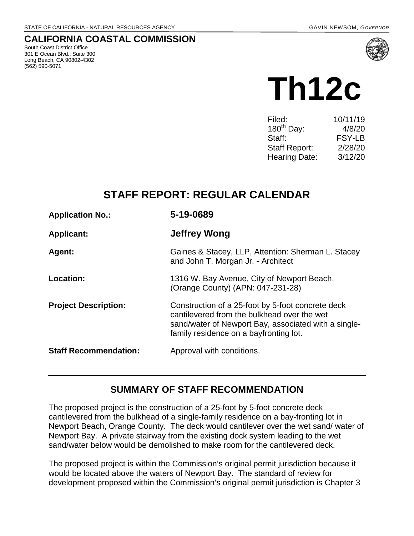### **CALIFORNIA COASTAL COMMISSION**

South Coast District Office 301 E Ocean Blvd., Suite 300 Long Beach, CA 90802-4302 (562) 590-5071



# **Th12c**

| 10/11/19      |
|---------------|
| 4/8/20        |
| <b>FSY-LB</b> |
| 2/28/20       |
| 3/12/20       |
|               |

# **STAFF REPORT: REGULAR CALENDAR**

| <b>Application No.:</b>      | 5-19-0689                                                                                                                                                                                          |
|------------------------------|----------------------------------------------------------------------------------------------------------------------------------------------------------------------------------------------------|
| <b>Applicant:</b>            | <b>Jeffrey Wong</b>                                                                                                                                                                                |
| <b>Agent:</b>                | Gaines & Stacey, LLP, Attention: Sherman L. Stacey<br>and John T. Morgan Jr. - Architect                                                                                                           |
| Location:                    | 1316 W. Bay Avenue, City of Newport Beach,<br>(Orange County) (APN: 047-231-28)                                                                                                                    |
| <b>Project Description:</b>  | Construction of a 25-foot by 5-foot concrete deck<br>cantilevered from the bulkhead over the wet<br>sand/water of Newport Bay, associated with a single-<br>family residence on a bayfronting lot. |
| <b>Staff Recommendation:</b> | Approval with conditions.                                                                                                                                                                          |

## **SUMMARY OF STAFF RECOMMENDATION**

The proposed project is the construction of a 25-foot by 5-foot concrete deck cantilevered from the bulkhead of a single-family residence on a bay-fronting lot in Newport Beach, Orange County. The deck would cantilever over the wet sand/ water of Newport Bay. A private stairway from the existing dock system leading to the wet sand/water below would be demolished to make room for the cantilevered deck.

The proposed project is within the Commission's original permit jurisdiction because it would be located above the waters of Newport Bay. The standard of review for development proposed within the Commission's original permit jurisdiction is Chapter 3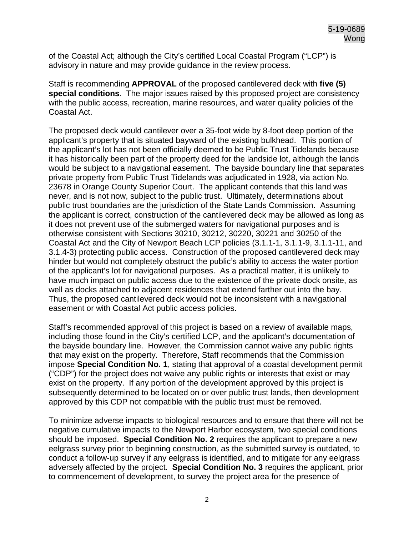of the Coastal Act; although the City's certified Local Coastal Program ("LCP") is advisory in nature and may provide guidance in the review process.

Staff is recommending **APPROVAL** of the proposed cantilevered deck with **five (5) special conditions**. The major issues raised by this proposed project are consistency with the public access, recreation, marine resources, and water quality policies of the Coastal Act.

The proposed deck would cantilever over a 35-foot wide by 8-foot deep portion of the applicant's property that is situated bayward of the existing bulkhead. This portion of the applicant's lot has not been officially deemed to be Public Trust Tidelands because it has historically been part of the property deed for the landside lot, although the lands would be subject to a navigational easement. The bayside boundary line that separates private property from Public Trust Tidelands was adjudicated in 1928, via action No. 23678 in Orange County Superior Court. The applicant contends that this land was never, and is not now, subject to the public trust. Ultimately, determinations about public trust boundaries are the jurisdiction of the State Lands Commission. Assuming the applicant is correct, construction of the cantilevered deck may be allowed as long as it does not prevent use of the submerged waters for navigational purposes and is otherwise consistent with Sections 30210, 30212, 30220, 30221 and 30250 of the Coastal Act and the City of Newport Beach LCP policies (3.1.1-1, 3.1.1-9, 3.1.1-11, and 3.1.4-3) protecting public access. Construction of the proposed cantilevered deck may hinder but would not completely obstruct the public's ability to access the water portion of the applicant's lot for navigational purposes. As a practical matter, it is unlikely to have much impact on public access due to the existence of the private dock onsite, as well as docks attached to adjacent residences that extend farther out into the bay. Thus, the proposed cantilevered deck would not be inconsistent with a navigational easement or with Coastal Act public access policies.

Staff's recommended approval of this project is based on a review of available maps, including those found in the City's certified LCP, and the applicant's documentation of the bayside boundary line. However, the Commission cannot waive any public rights that may exist on the property. Therefore, Staff recommends that the Commission impose **Special Condition No. 1**, stating that approval of a coastal development permit ("CDP") for the project does not waive any public rights or interests that exist or may exist on the property. If any portion of the development approved by this project is subsequently determined to be located on or over public trust lands, then development approved by this CDP not compatible with the public trust must be removed.

To minimize adverse impacts to biological resources and to ensure that there will not be negative cumulative impacts to the Newport Harbor ecosystem, two special conditions should be imposed. **Special Condition No. 2** requires the applicant to prepare a new eelgrass survey prior to beginning construction, as the submitted survey is outdated, to conduct a follow-up survey if any eelgrass is identified, and to mitigate for any eelgrass adversely affected by the project. **Special Condition No. 3** requires the applicant, prior to commencement of development, to survey the project area for the presence of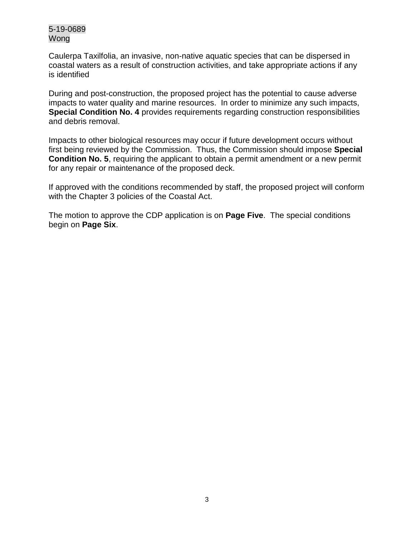Caulerpa Taxilfolia, an invasive, non-native aquatic species that can be dispersed in coastal waters as a result of construction activities, and take appropriate actions if any is identified

During and post-construction, the proposed project has the potential to cause adverse impacts to water quality and marine resources. In order to minimize any such impacts, **Special Condition No. 4** provides requirements regarding construction responsibilities and debris removal.

Impacts to other biological resources may occur if future development occurs without first being reviewed by the Commission. Thus, the Commission should impose **Special Condition No. 5**, requiring the applicant to obtain a permit amendment or a new permit for any repair or maintenance of the proposed deck.

If approved with the conditions recommended by staff, the proposed project will conform with the Chapter 3 policies of the Coastal Act.

The motion to approve the CDP application is on **Page Five**. The special conditions begin on **Page Six**.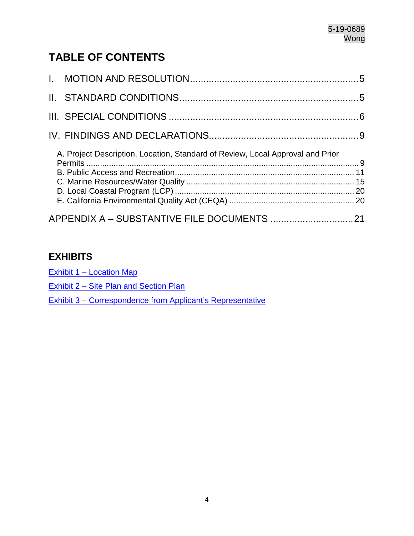# **TABLE OF CONTENTS**

| A. Project Description, Location, Standard of Review, Local Approval and Prior |  |
|--------------------------------------------------------------------------------|--|
|                                                                                |  |

## **EXHIBITS**

Exhibit 1 – Location Map

Exhibit 2 - Site Plan and Section Plan

[Exhibit 3 – Correspondence from Applicant's Representative](https://documents.coastal.ca.gov/reports/2020/3/Th12c/Th12c-3-2020-exhibits.pdf)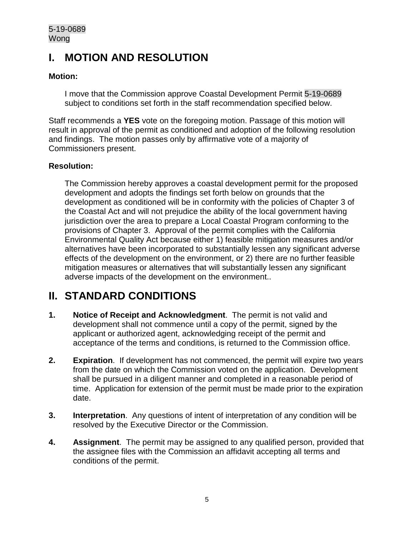# <span id="page-4-0"></span>**I. MOTION AND RESOLUTION**

#### **Motion:**

I move that the Commission approve Coastal Development Permit 5-19-0689 subject to conditions set forth in the staff recommendation specified below.

Staff recommends a **YES** vote on the foregoing motion. Passage of this motion will result in approval of the permit as conditioned and adoption of the following resolution and findings. The motion passes only by affirmative vote of a majority of Commissioners present.

#### **Resolution:**

The Commission hereby approves a coastal development permit for the proposed development and adopts the findings set forth below on grounds that the development as conditioned will be in conformity with the policies of Chapter 3 of the Coastal Act and will not prejudice the ability of the local government having jurisdiction over the area to prepare a Local Coastal Program conforming to the provisions of Chapter 3. Approval of the permit complies with the California Environmental Quality Act because either 1) feasible mitigation measures and/or alternatives have been incorporated to substantially lessen any significant adverse effects of the development on the environment, or 2) there are no further feasible mitigation measures or alternatives that will substantially lessen any significant adverse impacts of the development on the environment..

# <span id="page-4-1"></span>**II. STANDARD CONDITIONS**

- **1. Notice of Receipt and Acknowledgment**. The permit is not valid and development shall not commence until a copy of the permit, signed by the applicant or authorized agent, acknowledging receipt of the permit and acceptance of the terms and conditions, is returned to the Commission office.
- **2. Expiration**. If development has not commenced, the permit will expire two years from the date on which the Commission voted on the application. Development shall be pursued in a diligent manner and completed in a reasonable period of time. Application for extension of the permit must be made prior to the expiration date.
- **3. Interpretation**. Any questions of intent of interpretation of any condition will be resolved by the Executive Director or the Commission.
- **4. Assignment**. The permit may be assigned to any qualified person, provided that the assignee files with the Commission an affidavit accepting all terms and conditions of the permit.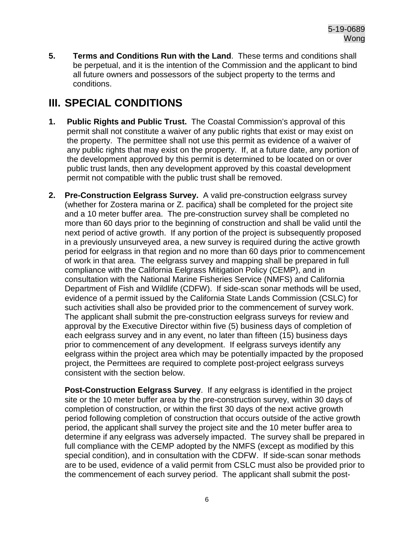**5. Terms and Conditions Run with the Land**. These terms and conditions shall be perpetual, and it is the intention of the Commission and the applicant to bind all future owners and possessors of the subject property to the terms and conditions.

# <span id="page-5-0"></span>**III. SPECIAL CONDITIONS**

- **1. Public Rights and Public Trust.** The Coastal Commission's approval of this permit shall not constitute a waiver of any public rights that exist or may exist on the property. The permittee shall not use this permit as evidence of a waiver of any public rights that may exist on the property. If, at a future date, any portion of the development approved by this permit is determined to be located on or over public trust lands, then any development approved by this coastal development permit not compatible with the public trust shall be removed.
- **2. Pre-Construction Eelgrass Survey.** A valid pre-construction eelgrass survey (whether for Zostera marina or Z. pacifica) shall be completed for the project site and a 10 meter buffer area. The pre-construction survey shall be completed no more than 60 days prior to the beginning of construction and shall be valid until the next period of active growth. If any portion of the project is subsequently proposed in a previously unsurveyed area, a new survey is required during the active growth period for eelgrass in that region and no more than 60 days prior to commencement of work in that area. The eelgrass survey and mapping shall be prepared in full compliance with the California Eelgrass Mitigation Policy (CEMP), and in consultation with the National Marine Fisheries Service (NMFS) and California Department of Fish and Wildlife (CDFW). If side-scan sonar methods will be used, evidence of a permit issued by the California State Lands Commission (CSLC) for such activities shall also be provided prior to the commencement of survey work. The applicant shall submit the pre-construction eelgrass surveys for review and approval by the Executive Director within five (5) business days of completion of each eelgrass survey and in any event, no later than fifteen (15) business days prior to commencement of any development. If eelgrass surveys identify any eelgrass within the project area which may be potentially impacted by the proposed project, the Permittees are required to complete post-project eelgrass surveys consistent with the section below.

**Post-Construction Eelgrass Survey**. If any eelgrass is identified in the project site or the 10 meter buffer area by the pre-construction survey, within 30 days of completion of construction, or within the first 30 days of the next active growth period following completion of construction that occurs outside of the active growth period, the applicant shall survey the project site and the 10 meter buffer area to determine if any eelgrass was adversely impacted. The survey shall be prepared in full compliance with the CEMP adopted by the NMFS (except as modified by this special condition), and in consultation with the CDFW. If side-scan sonar methods are to be used, evidence of a valid permit from CSLC must also be provided prior to the commencement of each survey period. The applicant shall submit the post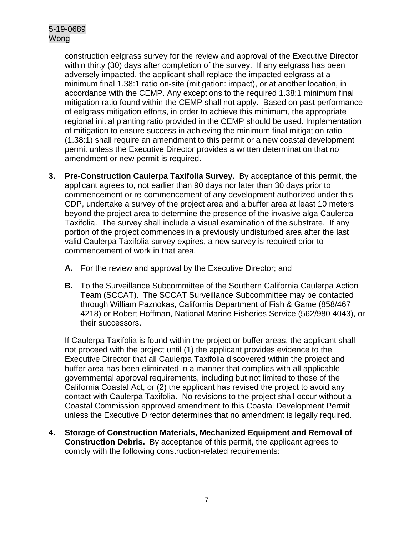construction eelgrass survey for the review and approval of the Executive Director within thirty (30) days after completion of the survey. If any eelgrass has been adversely impacted, the applicant shall replace the impacted eelgrass at a minimum final 1.38:1 ratio on-site (mitigation: impact), or at another location, in accordance with the CEMP. Any exceptions to the required 1.38:1 minimum final mitigation ratio found within the CEMP shall not apply. Based on past performance of eelgrass mitigation efforts, in order to achieve this minimum, the appropriate regional initial planting ratio provided in the CEMP should be used. Implementation of mitigation to ensure success in achieving the minimum final mitigation ratio (1.38:1) shall require an amendment to this permit or a new coastal development permit unless the Executive Director provides a written determination that no amendment or new permit is required.

- **3. Pre-Construction Caulerpa Taxifolia Survey.** By acceptance of this permit, the applicant agrees to, not earlier than 90 days nor later than 30 days prior to commencement or re-commencement of any development authorized under this CDP, undertake a survey of the project area and a buffer area at least 10 meters beyond the project area to determine the presence of the invasive alga Caulerpa Taxifolia. The survey shall include a visual examination of the substrate. If any portion of the project commences in a previously undisturbed area after the last valid Caulerpa Taxifolia survey expires, a new survey is required prior to commencement of work in that area.
	- **A.** For the review and approval by the Executive Director; and
	- **B.** To the Surveillance Subcommittee of the Southern California Caulerpa Action Team (SCCAT). The SCCAT Surveillance Subcommittee may be contacted through William Paznokas, California Department of Fish & Game (858/467 4218) or Robert Hoffman, National Marine Fisheries Service (562/980 4043), or their successors.

If Caulerpa Taxifolia is found within the project or buffer areas, the applicant shall not proceed with the project until (1) the applicant provides evidence to the Executive Director that all Caulerpa Taxifolia discovered within the project and buffer area has been eliminated in a manner that complies with all applicable governmental approval requirements, including but not limited to those of the California Coastal Act, or (2) the applicant has revised the project to avoid any contact with Caulerpa Taxifolia. No revisions to the project shall occur without a Coastal Commission approved amendment to this Coastal Development Permit unless the Executive Director determines that no amendment is legally required.

**4. Storage of Construction Materials, Mechanized Equipment and Removal of Construction Debris.** By acceptance of this permit, the applicant agrees to comply with the following construction-related requirements: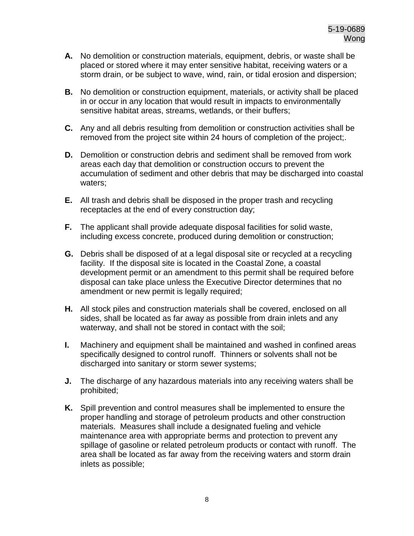- **A.** No demolition or construction materials, equipment, debris, or waste shall be placed or stored where it may enter sensitive habitat, receiving waters or a storm drain, or be subject to wave, wind, rain, or tidal erosion and dispersion;
- **B.** No demolition or construction equipment, materials, or activity shall be placed in or occur in any location that would result in impacts to environmentally sensitive habitat areas, streams, wetlands, or their buffers;
- **C.** Any and all debris resulting from demolition or construction activities shall be removed from the project site within 24 hours of completion of the project;.
- **D.** Demolition or construction debris and sediment shall be removed from work areas each day that demolition or construction occurs to prevent the accumulation of sediment and other debris that may be discharged into coastal waters;
- **E.** All trash and debris shall be disposed in the proper trash and recycling receptacles at the end of every construction day;
- **F.** The applicant shall provide adequate disposal facilities for solid waste, including excess concrete, produced during demolition or construction;
- **G.** Debris shall be disposed of at a legal disposal site or recycled at a recycling facility. If the disposal site is located in the Coastal Zone, a coastal development permit or an amendment to this permit shall be required before disposal can take place unless the Executive Director determines that no amendment or new permit is legally required;
- **H.** All stock piles and construction materials shall be covered, enclosed on all sides, shall be located as far away as possible from drain inlets and any waterway, and shall not be stored in contact with the soil;
- **I.** Machinery and equipment shall be maintained and washed in confined areas specifically designed to control runoff. Thinners or solvents shall not be discharged into sanitary or storm sewer systems;
- **J.** The discharge of any hazardous materials into any receiving waters shall be prohibited;
- **K.** Spill prevention and control measures shall be implemented to ensure the proper handling and storage of petroleum products and other construction materials. Measures shall include a designated fueling and vehicle maintenance area with appropriate berms and protection to prevent any spillage of gasoline or related petroleum products or contact with runoff. The area shall be located as far away from the receiving waters and storm drain inlets as possible;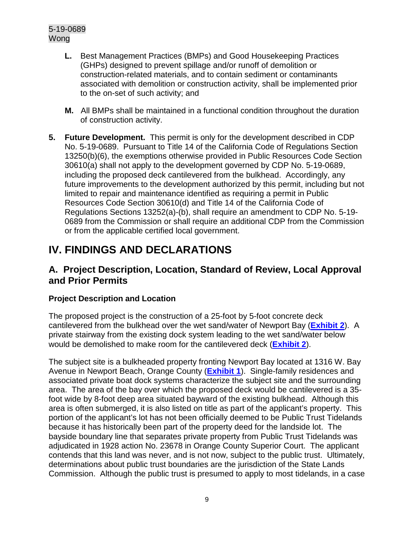- **L.** Best Management Practices (BMPs) and Good Housekeeping Practices (GHPs) designed to prevent spillage and/or runoff of demolition or construction-related materials, and to contain sediment or contaminants associated with demolition or construction activity, shall be implemented prior to the on-set of such activity; and
- **M.** All BMPs shall be maintained in a functional condition throughout the duration of construction activity.
- **5. Future Development.** This permit is only for the development described in CDP No. 5-19-0689. Pursuant to Title 14 of the California Code of Regulations Section 13250(b)(6), the exemptions otherwise provided in Public Resources Code Section 30610(a) shall not apply to the development governed by CDP No. 5-19-0689, including the proposed deck cantilevered from the bulkhead. Accordingly, any future improvements to the development authorized by this permit, including but not limited to repair and maintenance identified as requiring a permit in Public Resources Code Section 30610(d) and Title 14 of the California Code of Regulations Sections 13252(a)-(b), shall require an amendment to CDP No. 5-19- 0689 from the Commission or shall require an additional CDP from the Commission or from the applicable certified local government.

# <span id="page-8-0"></span>**IV. FINDINGS AND DECLARATIONS**

## <span id="page-8-1"></span>**A. Project Description, Location, Standard of Review, Local Approval and Prior Permits**

#### **Project Description and Location**

The proposed project is the construction of a 25-foot by 5-foot concrete deck cantilevered from the bulkhead over the wet sand/water of Newport Bay (**[Exhibit 2](https://documents.coastal.ca.gov/reports/2020/3/Th12c/Th12c-3-2020-exhibits.pdf)**). A private stairway from the existing dock system leading to the wet sand/water below would be demolished to make room for the cantilevered deck (**[Exhibit 2](https://documents.coastal.ca.gov/reports/2020/3/Th12c/Th12c-3-2020-exhibits.pdf)**).

The subject site is a bulkheaded property fronting Newport Bay located at 1316 W. Bay Avenue in Newport Beach, Orange County (**[Exhibit 1](https://documents.coastal.ca.gov/reports/2020/3/Th12c/Th12c-3-2020-exhibits.pdf)**). Single-family residences and associated private boat dock systems characterize the subject site and the surrounding area. The area of the bay over which the proposed deck would be cantilevered is a 35 foot wide by 8-foot deep area situated bayward of the existing bulkhead. Although this area is often submerged, it is also listed on title as part of the applicant's property. This portion of the applicant's lot has not been officially deemed to be Public Trust Tidelands because it has historically been part of the property deed for the landside lot. The bayside boundary line that separates private property from Public Trust Tidelands was adjudicated in 1928 action No. 23678 in Orange County Superior Court. The applicant contends that this land was never, and is not now, subject to the public trust. Ultimately, determinations about public trust boundaries are the jurisdiction of the State Lands Commission. Although the public trust is presumed to apply to most tidelands, in a case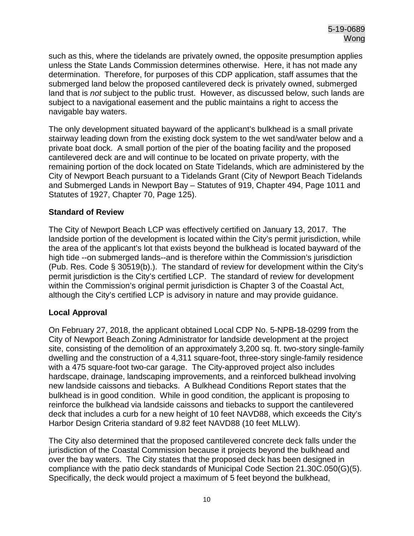such as this, where the tidelands are privately owned, the opposite presumption applies unless the State Lands Commission determines otherwise. Here, it has not made any determination. Therefore, for purposes of this CDP application, staff assumes that the submerged land below the proposed cantilevered deck is privately owned, submerged land that is *not* subject to the public trust. However, as discussed below, such lands are subject to a navigational easement and the public maintains a right to access the navigable bay waters.

The only development situated bayward of the applicant's bulkhead is a small private stairway leading down from the existing dock system to the wet sand/water below and a private boat dock. A small portion of the pier of the boating facility and the proposed cantilevered deck are and will continue to be located on private property, with the remaining portion of the dock located on State Tidelands, which are administered by the City of Newport Beach pursuant to a Tidelands Grant (City of Newport Beach Tidelands and Submerged Lands in Newport Bay – Statutes of 919, Chapter 494, Page 1011 and Statutes of 1927, Chapter 70, Page 125).

#### **Standard of Review**

The City of Newport Beach LCP was effectively certified on January 13, 2017. The landside portion of the development is located within the City's permit jurisdiction, while the area of the applicant's lot that exists beyond the bulkhead is located bayward of the high tide --on submerged lands--and is therefore within the Commission's jurisdiction (Pub. Res. Code § 30519(b).). The standard of review for development within the City's permit jurisdiction is the City's certified LCP. The standard of review for development within the Commission's original permit jurisdiction is Chapter 3 of the Coastal Act, although the City's certified LCP is advisory in nature and may provide guidance.

#### **Local Approval**

On February 27, 2018, the applicant obtained Local CDP No. 5-NPB-18-0299 from the City of Newport Beach Zoning Administrator for landside development at the project site, consisting of the demolition of an approximately 3,200 sq. ft. two-story single-family dwelling and the construction of a 4,311 square-foot, three-story single-family residence with a 475 square-foot two-car garage. The City-approved project also includes hardscape, drainage, landscaping improvements, and a reinforced bulkhead involving new landside caissons and tiebacks. A Bulkhead Conditions Report states that the bulkhead is in good condition. While in good condition, the applicant is proposing to reinforce the bulkhead via landside caissons and tiebacks to support the cantilevered deck that includes a curb for a new height of 10 feet NAVD88, which exceeds the City's Harbor Design Criteria standard of 9.82 feet NAVD88 (10 feet MLLW).

The City also determined that the proposed cantilevered concrete deck falls under the jurisdiction of the Coastal Commission because it projects beyond the bulkhead and over the bay waters. The City states that the proposed deck has been designed in compliance with the patio deck standards of Municipal Code Section 21.30C.050(G)(5). Specifically, the deck would project a maximum of 5 feet beyond the bulkhead,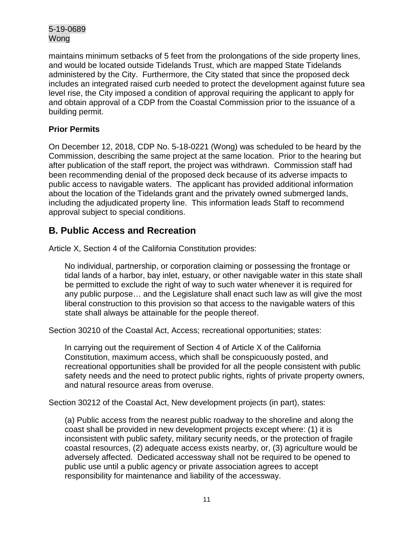maintains minimum setbacks of 5 feet from the prolongations of the side property lines, and would be located outside Tidelands Trust, which are mapped State Tidelands administered by the City. Furthermore, the City stated that since the proposed deck includes an integrated raised curb needed to protect the development against future sea level rise, the City imposed a condition of approval requiring the applicant to apply for and obtain approval of a CDP from the Coastal Commission prior to the issuance of a building permit.

#### **Prior Permits**

On December 12, 2018, CDP No. 5-18-0221 (Wong) was scheduled to be heard by the Commission, describing the same project at the same location. Prior to the hearing but after publication of the staff report, the project was withdrawn. Commission staff had been recommending denial of the proposed deck because of its adverse impacts to public access to navigable waters. The applicant has provided additional information about the location of the Tidelands grant and the privately owned submerged lands, including the adjudicated property line. This information leads Staff to recommend approval subject to special conditions.

## <span id="page-10-0"></span>**B. Public Access and Recreation**

Article X, Section 4 of the California Constitution provides:

No individual, partnership, or corporation claiming or possessing the frontage or tidal lands of a harbor, bay inlet, estuary, or other navigable water in this state shall be permitted to exclude the right of way to such water whenever it is required for any public purpose… and the Legislature shall enact such law as will give the most liberal construction to this provision so that access to the navigable waters of this state shall always be attainable for the people thereof.

Section 30210 of the Coastal Act, Access; recreational opportunities; states:

In carrying out the requirement of Section 4 of Article X of the California Constitution, maximum access, which shall be conspicuously posted, and recreational opportunities shall be provided for all the people consistent with public safety needs and the need to protect public rights, rights of private property owners, and natural resource areas from overuse.

Section 30212 of the Coastal Act, New development projects (in part), states:

(a) Public access from the nearest public roadway to the shoreline and along the coast shall be provided in new development projects except where: (1) it is inconsistent with public safety, military security needs, or the protection of fragile coastal resources, (2) adequate access exists nearby, or, (3) agriculture would be adversely affected. Dedicated accessway shall not be required to be opened to public use until a public agency or private association agrees to accept responsibility for maintenance and liability of the accessway.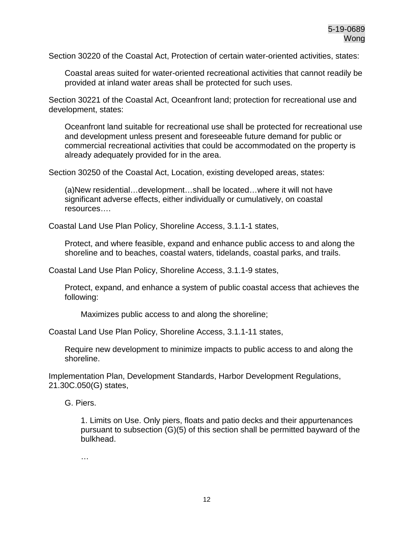Section 30220 of the Coastal Act, Protection of certain water-oriented activities, states:

Coastal areas suited for water-oriented recreational activities that cannot readily be provided at inland water areas shall be protected for such uses.

Section 30221 of the Coastal Act, Oceanfront land; protection for recreational use and development, states:

Oceanfront land suitable for recreational use shall be protected for recreational use and development unless present and foreseeable future demand for public or commercial recreational activities that could be accommodated on the property is already adequately provided for in the area.

Section 30250 of the Coastal Act, Location, existing developed areas, states:

(a)New residential…development…shall be located…where it will not have significant adverse effects, either individually or cumulatively, on coastal resources….

Coastal Land Use Plan Policy, Shoreline Access, 3.1.1-1 states,

Protect, and where feasible, expand and enhance public access to and along the shoreline and to beaches, coastal waters, tidelands, coastal parks, and trails.

Coastal Land Use Plan Policy, Shoreline Access, 3.1.1-9 states,

Protect, expand, and enhance a system of public coastal access that achieves the following:

Maximizes public access to and along the shoreline;

Coastal Land Use Plan Policy, Shoreline Access, 3.1.1-11 states,

Require new development to minimize impacts to public access to and along the shoreline.

Implementation Plan, Development Standards, Harbor Development Regulations, 21.30C.050(G) states,

G. Piers.

1. Limits on Use. Only piers, floats and patio decks and their appurtenances pursuant to subsection (G)(5) of this section shall be permitted bayward of the bulkhead.

…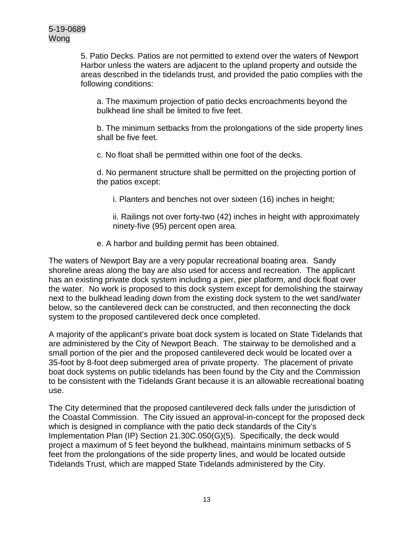5. Patio Decks. Patios are not permitted to extend over the waters of Newport Harbor unless the waters are adjacent to the upland property and outside the areas described in the tidelands trust, and provided the patio complies with the following conditions:

a. The maximum projection of patio decks encroachments beyond the bulkhead line shall be limited to five feet.

b. The minimum setbacks from the prolongations of the side property lines shall be five feet.

c. No float shall be permitted within one foot of the decks.

d. No permanent structure shall be permitted on the projecting portion of the patios except:

i. Planters and benches not over sixteen (16) inches in height;

ii. Railings not over forty-two (42) inches in height with approximately ninety-five (95) percent open area.

e. A harbor and building permit has been obtained.

The waters of Newport Bay are a very popular recreational boating area. Sandy shoreline areas along the bay are also used for access and recreation. The applicant has an existing private dock system including a pier, pier platform, and dock float over the water. No work is proposed to this dock system except for demolishing the stairway next to the bulkhead leading down from the existing dock system to the wet sand/water below, so the cantilevered deck can be constructed, and then reconnecting the dock system to the proposed cantilevered deck once completed.

A majority of the applicant's private boat dock system is located on State Tidelands that are administered by the City of Newport Beach. The stairway to be demolished and a small portion of the pier and the proposed cantilevered deck would be located over a 35-foot by 8-foot deep submerged area of private property. The placement of private boat dock systems on public tidelands has been found by the City and the Commission to be consistent with the Tidelands Grant because it is an allowable recreational boating use.

The City determined that the proposed cantilevered deck falls under the jurisdiction of the Coastal Commission. The City issued an approval-in-concept for the proposed deck which is designed in compliance with the patio deck standards of the City's Implementation Plan (IP) Section 21.30C.050(G)(5). Specifically, the deck would project a maximum of 5 feet beyond the bulkhead, maintains minimum setbacks of 5 feet from the prolongations of the side property lines, and would be located outside Tidelands Trust, which are mapped State Tidelands administered by the City.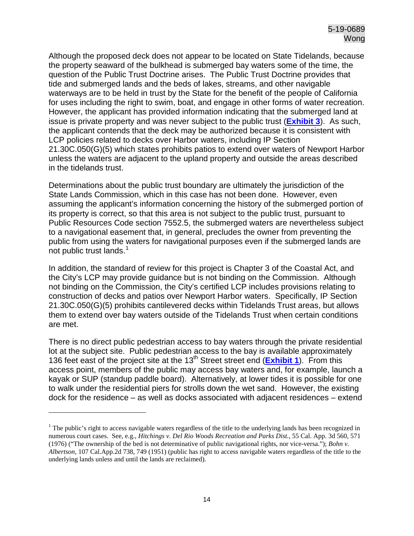Although the proposed deck does not appear to be located on State Tidelands, because the property seaward of the bulkhead is submerged bay waters some of the time, the question of the Public Trust Doctrine arises. The Public Trust Doctrine provides that tide and submerged lands and the beds of lakes, streams, and other navigable waterways are to be held in trust by the State for the benefit of the people of California for uses including the right to swim, boat, and engage in other forms of water recreation. However, the applicant has provided information indicating that the submerged land at issue is private property and was never subject to the public trust (**[Exhibit 3](https://documents.coastal.ca.gov/reports/2020/3/Th12c/Th12c-3-2020-exhibits.pdf)**). As such, the applicant contends that the deck may be authorized because it is consistent with LCP policies related to decks over Harbor waters, including IP Section 21.30C.050(G)(5) which states prohibits patios to extend over waters of Newport Harbor unless the waters are adjacent to the upland property and outside the areas described in the tidelands trust.

Determinations about the public trust boundary are ultimately the jurisdiction of the State Lands Commission, which in this case has not been done. However, even assuming the applicant's information concerning the history of the submerged portion of its property is correct, so that this area is not subject to the public trust, pursuant to Public Resources Code section 7552.5, the submerged waters are nevertheless subject to a navigational easement that, in general, precludes the owner from preventing the public from using the waters for navigational purposes even if the submerged lands are not public trust lands.<sup>[1](#page-13-0)</sup>

In addition, the standard of review for this project is Chapter 3 of the Coastal Act, and the City's LCP may provide guidance but is not binding on the Commission. Although not binding on the Commission, the City's certified LCP includes provisions relating to construction of decks and patios over Newport Harbor waters. Specifically, IP Section 21.30C.050(G)(5) prohibits cantilevered decks within Tidelands Trust areas, but allows them to extend over bay waters outside of the Tidelands Trust when certain conditions are met.

There is no direct public pedestrian access to bay waters through the private residential lot at the subject site. Public pedestrian access to the bay is available approximately 136 feet east of the project site at the 13th Street street end (**[Exhibit 1](https://documents.coastal.ca.gov/reports/2020/3/Th12c/Th12c-3-2020-exhibits.pdf)**). From this access point, members of the public may access bay waters and, for example, launch a kayak or SUP (standup paddle board). Alternatively, at lower tides it is possible for one to walk under the residential piers for strolls down the wet sand. However, the existing dock for the residence – as well as docks associated with adjacent residences – extend

 $\overline{a}$ 

<span id="page-13-0"></span> $<sup>1</sup>$  The public's right to access navigable waters regardless of the title to the underlying lands has been recognized in</sup> numerous court cases. See, e.g., *Hitchings v. Del Rio Woods Recreation and Parks Dist.*, 55 Cal. App. 3d 560, 571 (1976) ("The ownership of the bed is not determinative of public navigational rights, nor vice-versa."); *Bohn v. Albertson*, 107 Cal.App.2d 738, 749 (1951) (public has right to access navigable waters regardless of the title to the underlying lands unless and until the lands are reclaimed).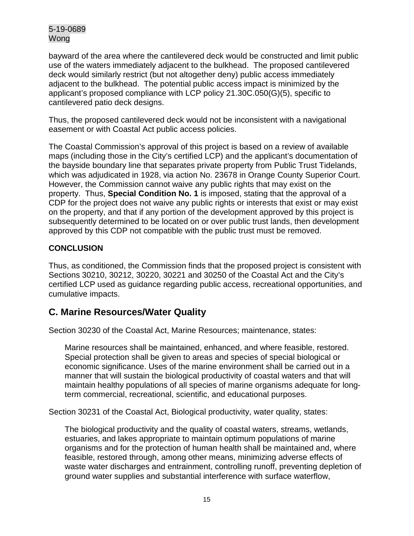bayward of the area where the cantilevered deck would be constructed and limit public use of the waters immediately adjacent to the bulkhead. The proposed cantilevered deck would similarly restrict (but not altogether deny) public access immediately adjacent to the bulkhead. The potential public access impact is minimized by the applicant's proposed compliance with LCP policy 21.30C.050(G)(5), specific to cantilevered patio deck designs.

Thus, the proposed cantilevered deck would not be inconsistent with a navigational easement or with Coastal Act public access policies.

The Coastal Commission's approval of this project is based on a review of available maps (including those in the City's certified LCP) and the applicant's documentation of the bayside boundary line that separates private property from Public Trust Tidelands, which was adjudicated in 1928, via action No. 23678 in Orange County Superior Court. However, the Commission cannot waive any public rights that may exist on the property. Thus, **Special Condition No. 1** is imposed, stating that the approval of a CDP for the project does not waive any public rights or interests that exist or may exist on the property, and that if any portion of the development approved by this project is subsequently determined to be located on or over public trust lands, then development approved by this CDP not compatible with the public trust must be removed.

#### **CONCLUSION**

Thus, as conditioned, the Commission finds that the proposed project is consistent with Sections 30210, 30212, 30220, 30221 and 30250 of the Coastal Act and the City's certified LCP used as guidance regarding public access, recreational opportunities, and cumulative impacts.

## <span id="page-14-0"></span>**C. Marine Resources/Water Quality**

Section 30230 of the Coastal Act, Marine Resources; maintenance, states:

Marine resources shall be maintained, enhanced, and where feasible, restored. Special protection shall be given to areas and species of special biological or economic significance. Uses of the marine environment shall be carried out in a manner that will sustain the biological productivity of coastal waters and that will maintain healthy populations of all species of marine organisms adequate for longterm commercial, recreational, scientific, and educational purposes.

Section 30231 of the Coastal Act, Biological productivity, water quality, states:

The biological productivity and the quality of coastal waters, streams, wetlands, estuaries, and lakes appropriate to maintain optimum populations of marine organisms and for the protection of human health shall be maintained and, where feasible, restored through, among other means, minimizing adverse effects of waste water discharges and entrainment, controlling runoff, preventing depletion of ground water supplies and substantial interference with surface waterflow,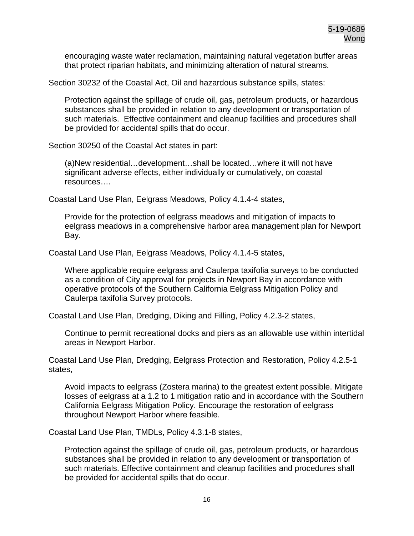encouraging waste water reclamation, maintaining natural vegetation buffer areas that protect riparian habitats, and minimizing alteration of natural streams.

Section 30232 of the Coastal Act, Oil and hazardous substance spills, states:

Protection against the spillage of crude oil, gas, petroleum products, or hazardous substances shall be provided in relation to any development or transportation of such materials. Effective containment and cleanup facilities and procedures shall be provided for accidental spills that do occur.

Section 30250 of the Coastal Act states in part:

(a)New residential…development…shall be located…where it will not have significant adverse effects, either individually or cumulatively, on coastal resources….

Coastal Land Use Plan, Eelgrass Meadows, Policy 4.1.4-4 states,

Provide for the protection of eelgrass meadows and mitigation of impacts to eelgrass meadows in a comprehensive harbor area management plan for Newport Bay.

Coastal Land Use Plan, Eelgrass Meadows, Policy 4.1.4-5 states,

Where applicable require eelgrass and Caulerpa taxifolia surveys to be conducted as a condition of City approval for projects in Newport Bay in accordance with operative protocols of the Southern California Eelgrass Mitigation Policy and Caulerpa taxifolia Survey protocols.

Coastal Land Use Plan, Dredging, Diking and Filling, Policy 4.2.3-2 states,

Continue to permit recreational docks and piers as an allowable use within intertidal areas in Newport Harbor.

Coastal Land Use Plan, Dredging, Eelgrass Protection and Restoration, Policy 4.2.5-1 states,

Avoid impacts to eelgrass (Zostera marina) to the greatest extent possible. Mitigate losses of eelgrass at a 1.2 to 1 mitigation ratio and in accordance with the Southern California Eelgrass Mitigation Policy. Encourage the restoration of eelgrass throughout Newport Harbor where feasible.

Coastal Land Use Plan, TMDLs, Policy 4.3.1-8 states,

Protection against the spillage of crude oil, gas, petroleum products, or hazardous substances shall be provided in relation to any development or transportation of such materials. Effective containment and cleanup facilities and procedures shall be provided for accidental spills that do occur.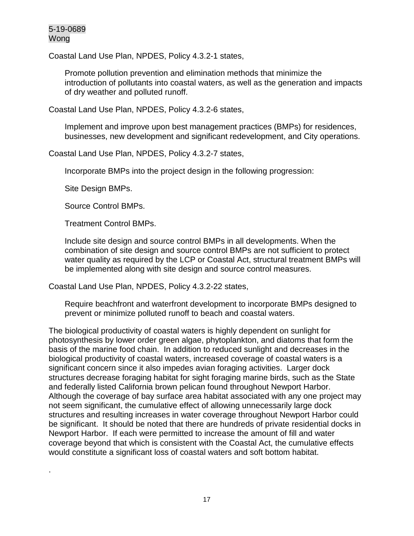.

Coastal Land Use Plan, NPDES, Policy 4.3.2-1 states,

Promote pollution prevention and elimination methods that minimize the introduction of pollutants into coastal waters, as well as the generation and impacts of dry weather and polluted runoff.

Coastal Land Use Plan, NPDES, Policy 4.3.2-6 states,

Implement and improve upon best management practices (BMPs) for residences, businesses, new development and significant redevelopment, and City operations.

Coastal Land Use Plan, NPDES, Policy 4.3.2-7 states,

Incorporate BMPs into the project design in the following progression:

Site Design BMPs.

Source Control BMPs.

Treatment Control BMPs.

Include site design and source control BMPs in all developments. When the combination of site design and source control BMPs are not sufficient to protect water quality as required by the LCP or Coastal Act, structural treatment BMPs will be implemented along with site design and source control measures.

Coastal Land Use Plan, NPDES, Policy 4.3.2-22 states,

Require beachfront and waterfront development to incorporate BMPs designed to prevent or minimize polluted runoff to beach and coastal waters.

The biological productivity of coastal waters is highly dependent on sunlight for photosynthesis by lower order green algae, phytoplankton, and diatoms that form the basis of the marine food chain. In addition to reduced sunlight and decreases in the biological productivity of coastal waters, increased coverage of coastal waters is a significant concern since it also impedes avian foraging activities. Larger dock structures decrease foraging habitat for sight foraging marine birds, such as the State and federally listed California brown pelican found throughout Newport Harbor. Although the coverage of bay surface area habitat associated with any one project may not seem significant, the cumulative effect of allowing unnecessarily large dock structures and resulting increases in water coverage throughout Newport Harbor could be significant. It should be noted that there are hundreds of private residential docks in Newport Harbor. If each were permitted to increase the amount of fill and water coverage beyond that which is consistent with the Coastal Act, the cumulative effects would constitute a significant loss of coastal waters and soft bottom habitat.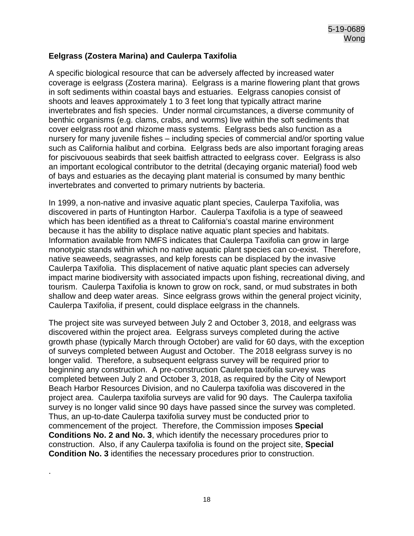#### **Eelgrass (Zostera Marina) and Caulerpa Taxifolia**

A specific biological resource that can be adversely affected by increased water coverage is eelgrass (Zostera marina). Eelgrass is a marine flowering plant that grows in soft sediments within coastal bays and estuaries. Eelgrass canopies consist of shoots and leaves approximately 1 to 3 feet long that typically attract marine invertebrates and fish species. Under normal circumstances, a diverse community of benthic organisms (e.g. clams, crabs, and worms) live within the soft sediments that cover eelgrass root and rhizome mass systems. Eelgrass beds also function as a nursery for many juvenile fishes – including species of commercial and/or sporting value such as California halibut and corbina. Eelgrass beds are also important foraging areas for piscivouous seabirds that seek baitfish attracted to eelgrass cover. Eelgrass is also an important ecological contributor to the detrital (decaying organic material) food web of bays and estuaries as the decaying plant material is consumed by many benthic invertebrates and converted to primary nutrients by bacteria.

In 1999, a non-native and invasive aquatic plant species, Caulerpa Taxifolia, was discovered in parts of Huntington Harbor. Caulerpa Taxifolia is a type of seaweed which has been identified as a threat to California's coastal marine environment because it has the ability to displace native aquatic plant species and habitats. Information available from NMFS indicates that Caulerpa Taxifolia can grow in large monotypic stands within which no native aquatic plant species can co-exist. Therefore, native seaweeds, seagrasses, and kelp forests can be displaced by the invasive Caulerpa Taxifolia. This displacement of native aquatic plant species can adversely impact marine biodiversity with associated impacts upon fishing, recreational diving, and tourism. Caulerpa Taxifolia is known to grow on rock, sand, or mud substrates in both shallow and deep water areas. Since eelgrass grows within the general project vicinity, Caulerpa Taxifolia, if present, could displace eelgrass in the channels.

The project site was surveyed between July 2 and October 3, 2018, and eelgrass was discovered within the project area. Eelgrass surveys completed during the active growth phase (typically March through October) are valid for 60 days, with the exception of surveys completed between August and October. The 2018 eelgrass survey is no longer valid. Therefore, a subsequent eelgrass survey will be required prior to beginning any construction. A pre-construction Caulerpa taxifolia survey was completed between July 2 and October 3, 2018, as required by the City of Newport Beach Harbor Resources Division, and no Caulerpa taxifolia was discovered in the project area. Caulerpa taxifolia surveys are valid for 90 days. The Caulerpa taxifolia survey is no longer valid since 90 days have passed since the survey was completed. Thus, an up-to-date Caulerpa taxifolia survey must be conducted prior to commencement of the project. Therefore, the Commission imposes **Special Conditions No. 2 and No. 3**, which identify the necessary procedures prior to construction. Also, if any Caulerpa taxifolia is found on the project site, **Special Condition No. 3** identifies the necessary procedures prior to construction.

.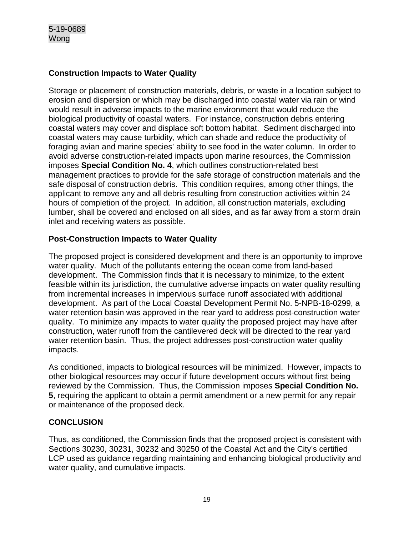#### **Construction Impacts to Water Quality**

Storage or placement of construction materials, debris, or waste in a location subject to erosion and dispersion or which may be discharged into coastal water via rain or wind would result in adverse impacts to the marine environment that would reduce the biological productivity of coastal waters. For instance, construction debris entering coastal waters may cover and displace soft bottom habitat. Sediment discharged into coastal waters may cause turbidity, which can shade and reduce the productivity of foraging avian and marine species' ability to see food in the water column. In order to avoid adverse construction-related impacts upon marine resources, the Commission imposes **Special Condition No. 4**, which outlines construction-related best management practices to provide for the safe storage of construction materials and the safe disposal of construction debris. This condition requires, among other things, the applicant to remove any and all debris resulting from construction activities within 24 hours of completion of the project. In addition, all construction materials, excluding lumber, shall be covered and enclosed on all sides, and as far away from a storm drain inlet and receiving waters as possible.

#### **Post-Construction Impacts to Water Quality**

The proposed project is considered development and there is an opportunity to improve water quality. Much of the pollutants entering the ocean come from land-based development. The Commission finds that it is necessary to minimize, to the extent feasible within its jurisdiction, the cumulative adverse impacts on water quality resulting from incremental increases in impervious surface runoff associated with additional development. As part of the Local Coastal Development Permit No. 5-NPB-18-0299, a water retention basin was approved in the rear yard to address post-construction water quality. To minimize any impacts to water quality the proposed project may have after construction, water runoff from the cantilevered deck will be directed to the rear yard water retention basin. Thus, the project addresses post-construction water quality impacts.

As conditioned, impacts to biological resources will be minimized. However, impacts to other biological resources may occur if future development occurs without first being reviewed by the Commission. Thus, the Commission imposes **Special Condition No. 5**, requiring the applicant to obtain a permit amendment or a new permit for any repair or maintenance of the proposed deck.

#### **CONCLUSION**

Thus, as conditioned, the Commission finds that the proposed project is consistent with Sections 30230, 30231, 30232 and 30250 of the Coastal Act and the City's certified LCP used as guidance regarding maintaining and enhancing biological productivity and water quality, and cumulative impacts.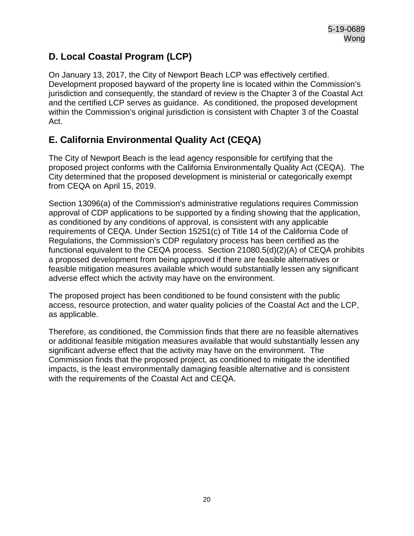## <span id="page-19-0"></span>**D. Local Coastal Program (LCP)**

On January 13, 2017, the City of Newport Beach LCP was effectively certified. Development proposed bayward of the property line is located within the Commission's jurisdiction and consequently, the standard of review is the Chapter 3 of the Coastal Act and the certified LCP serves as guidance. As conditioned, the proposed development within the Commission's original jurisdiction is consistent with Chapter 3 of the Coastal Act.

## <span id="page-19-1"></span>**E. California Environmental Quality Act (CEQA)**

The City of Newport Beach is the lead agency responsible for certifying that the proposed project conforms with the California Environmentally Quality Act (CEQA). The City determined that the proposed development is ministerial or categorically exempt from CEQA on April 15, 2019.

Section 13096(a) of the Commission's administrative regulations requires Commission approval of CDP applications to be supported by a finding showing that the application, as conditioned by any conditions of approval, is consistent with any applicable requirements of CEQA. Under Section 15251(c) of Title 14 of the California Code of Regulations, the Commission's CDP regulatory process has been certified as the functional equivalent to the CEQA process. Section 21080.5(d)(2)(A) of CEQA prohibits a proposed development from being approved if there are feasible alternatives or feasible mitigation measures available which would substantially lessen any significant adverse effect which the activity may have on the environment.

The proposed project has been conditioned to be found consistent with the public access, resource protection, and water quality policies of the Coastal Act and the LCP, as applicable.

Therefore, as conditioned, the Commission finds that there are no feasible alternatives or additional feasible mitigation measures available that would substantially lessen any significant adverse effect that the activity may have on the environment. The Commission finds that the proposed project, as conditioned to mitigate the identified impacts, is the least environmentally damaging feasible alternative and is consistent with the requirements of the Coastal Act and CEQA.